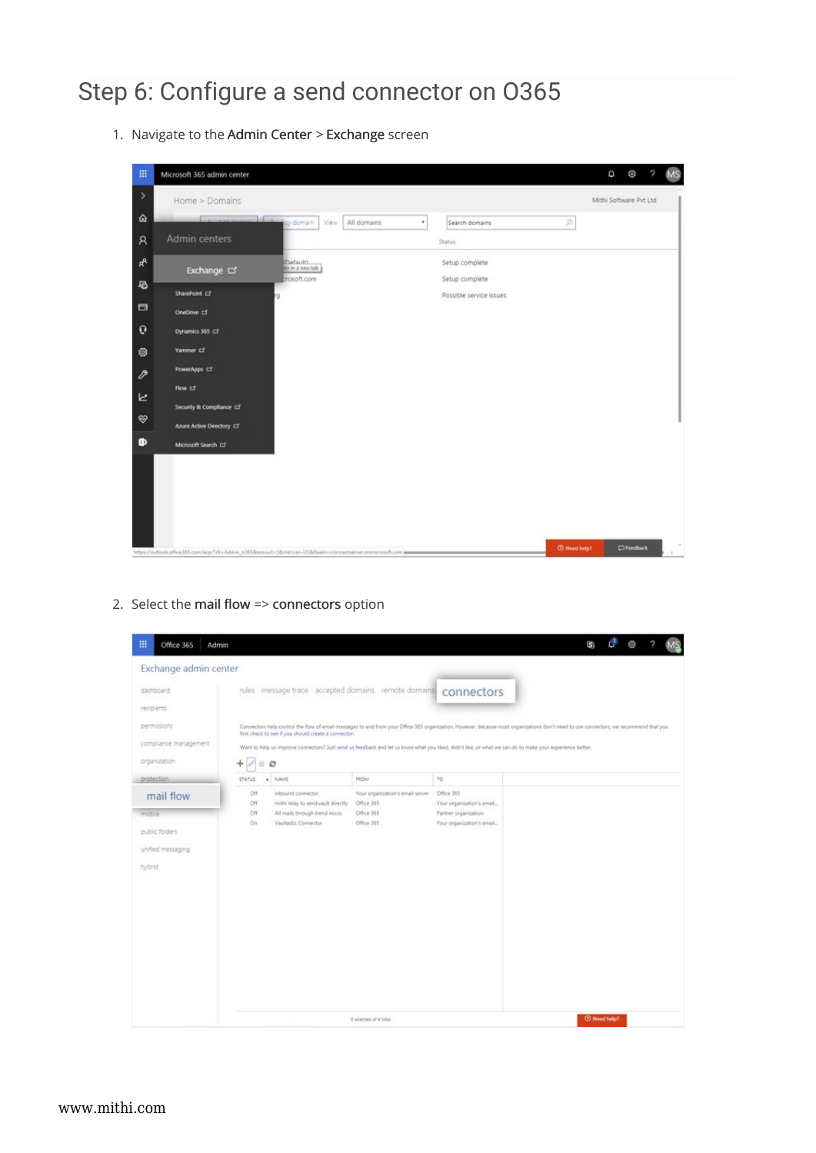## Step 6: Configure a send connector on O365

1. Navigate to the Admin Center > Exchange screen



2. Select the mail flow => connectors option

| 冊<br>Office 365<br>Admin                                                                                 |                                                                                                                                                                                                                                                                                                                                                                                                                                                                           |                                                                                           |                                                                                                     | O.<br>G.                    |
|----------------------------------------------------------------------------------------------------------|---------------------------------------------------------------------------------------------------------------------------------------------------------------------------------------------------------------------------------------------------------------------------------------------------------------------------------------------------------------------------------------------------------------------------------------------------------------------------|-------------------------------------------------------------------------------------------|-----------------------------------------------------------------------------------------------------|-----------------------------|
| Exchange admin center<br>dashboard<br>recipients<br>permissions<br>compliance management<br>organization | rules message trace accepted domains remote domains<br>Connectors help control the flow of email messages to and from your Office 365 organization. However, because most organizations don't need to use connectors, we recommend that you<br>first check to see if you should create a connector.<br>Want to help us improve connectors? Just send us feedback and let us know what you liked, didn't like, or what we can do to make your experience better.<br>ø<br>ш |                                                                                           | connectors                                                                                          |                             |
| protection<br>mail flow<br>mobile<br>public folders<br>unified messaging<br>hybrid                       | STATUS<br><b>NAME</b><br>×.<br>Off<br>inbound connector<br>Off<br>mithi relay to send.vault directly<br>Off<br>All mails through trend micro<br>On.<br>Vaultastic Connector                                                                                                                                                                                                                                                                                               | <b>FROM</b><br>Your organization's email server<br>Office 365<br>Office 365<br>Office 365 | TO.<br>Office 365<br>Your organization's email<br>Partner organization<br>Your organization's email |                             |
|                                                                                                          |                                                                                                                                                                                                                                                                                                                                                                                                                                                                           | O selected of 4 total                                                                     |                                                                                                     | <b><i>CD Need help?</i></b> |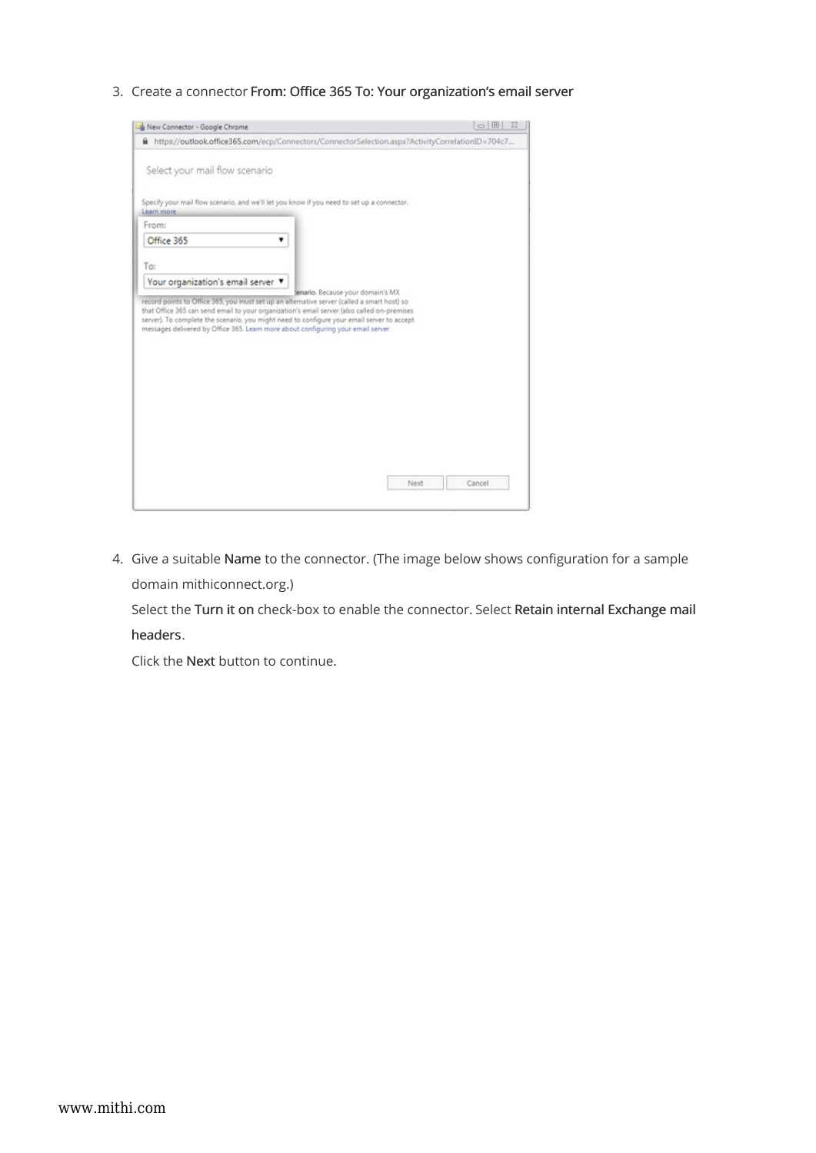3. Create a connector From: Office 365 To: Your organization's email server



4. Give a suitable Name to the connector. (The image below shows configuration for a sample domain mithiconnect.org.)

Select the Turn it on check-box to enable the connector. Select Retain internal Exchange mail headers.

Click the Next button to continue.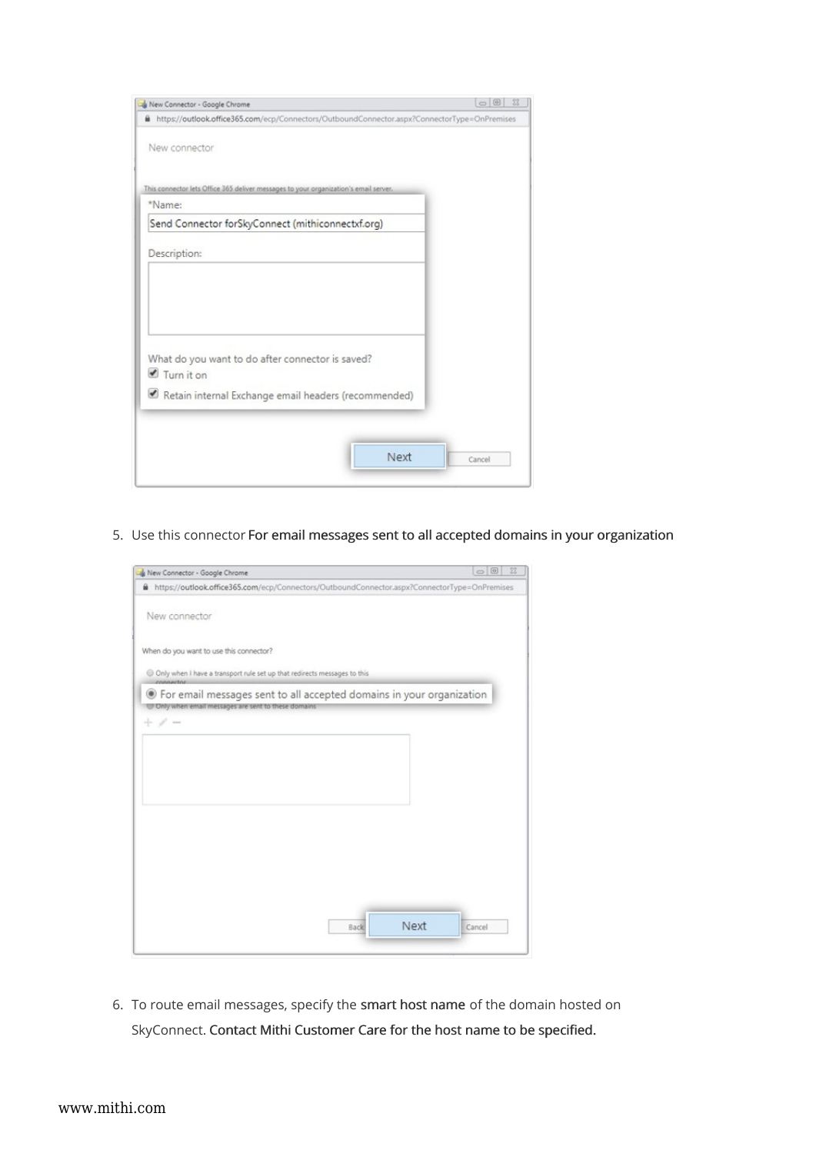| New Connector - Google Chrome                                                                     | $\circ$ $\circ$<br>23 |
|---------------------------------------------------------------------------------------------------|-----------------------|
| https://outlook.office365.com/ecp/Connectors/OutboundConnector.aspx?ConnectorType=OnPremises<br>⋒ |                       |
| New connector                                                                                     |                       |
|                                                                                                   |                       |
| This connector lets Office 365 deliver messages to your organization's email server.              |                       |
| *Name:                                                                                            |                       |
| Send Connector forSkyConnect (mithiconnectxf.org)                                                 |                       |
| Description:                                                                                      |                       |
|                                                                                                   |                       |
|                                                                                                   |                       |
|                                                                                                   |                       |
|                                                                                                   |                       |
|                                                                                                   |                       |
| What do you want to do after connector is saved?                                                  |                       |
| Turn it on                                                                                        |                       |
| Retain internal Exchange email headers (recommended)                                              |                       |
|                                                                                                   |                       |
|                                                                                                   |                       |
|                                                                                                   |                       |
| Next                                                                                              | Cancel                |

5. Use this connector For email messages sent to all accepted domains in your organization

| New Connector - Google Chrome                                                                                                   | $\Box$<br>23<br>$\Rightarrow$ |
|---------------------------------------------------------------------------------------------------------------------------------|-------------------------------|
| https://outlook.office365.com/ecp/Connectors/OutboundConnector.aspx?ConnectorType=OnPremises                                    |                               |
| New connector                                                                                                                   |                               |
| When do you want to use this connector?                                                                                         |                               |
| Conly when I have a transport rule set up that redirects messages to this                                                       |                               |
| So For email messages sent to all accepted domains in your organization<br>7 Only when email messages are sent to these domains |                               |
| $\sim$                                                                                                                          |                               |
|                                                                                                                                 |                               |
|                                                                                                                                 |                               |
|                                                                                                                                 |                               |
|                                                                                                                                 |                               |
|                                                                                                                                 |                               |
|                                                                                                                                 |                               |
|                                                                                                                                 |                               |
|                                                                                                                                 |                               |
|                                                                                                                                 |                               |
|                                                                                                                                 | Next                          |
| Back                                                                                                                            | Cancel                        |

6. To route email messages, specify the smart host name of the domain hosted on SkyConnect. Contact Mithi Customer Care for the host name to be specified.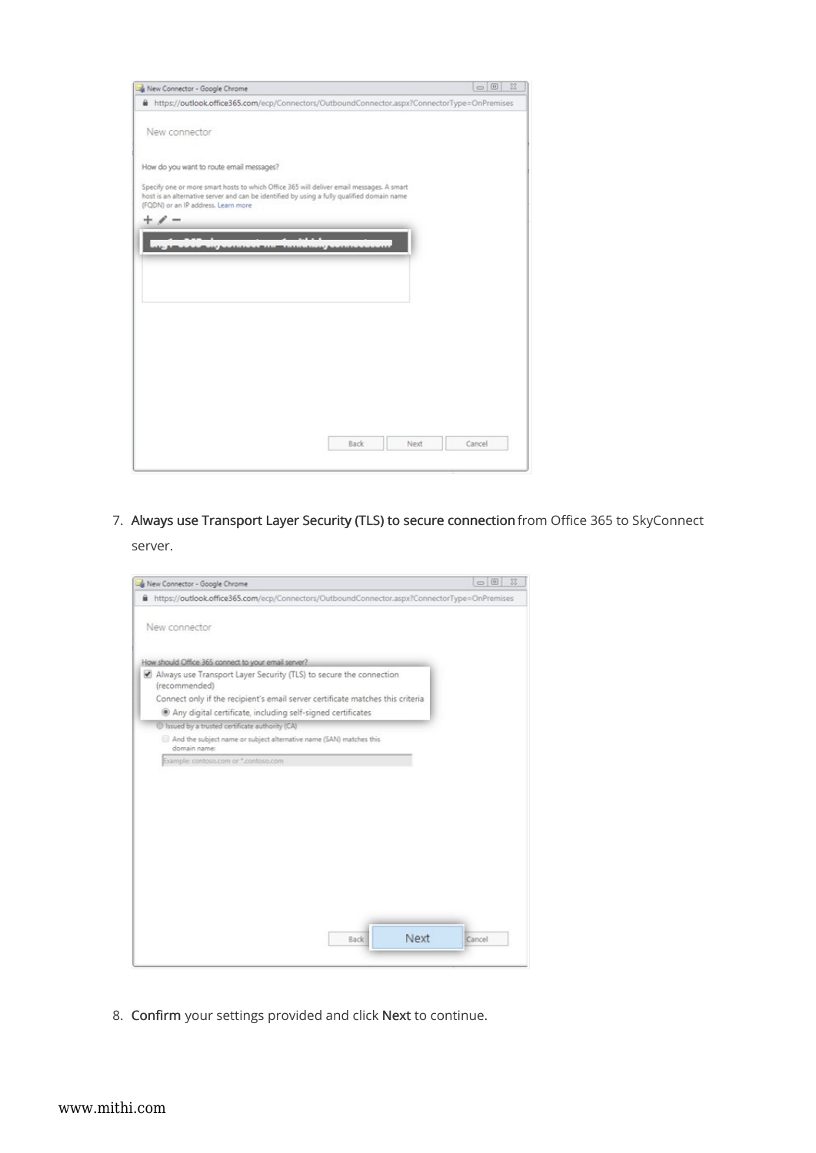| New Connector - Google Chrome                                                                                                                                                                                                 |      |      | 23<br>$\Theta$<br>$\Rightarrow$ |
|-------------------------------------------------------------------------------------------------------------------------------------------------------------------------------------------------------------------------------|------|------|---------------------------------|
| https://outlook.office365.com/ecp/Connectors/OutboundConnector.aspx?ConnectorType=OnPremises<br>₿                                                                                                                             |      |      |                                 |
| New connector                                                                                                                                                                                                                 |      |      |                                 |
| How do you want to route email messages?                                                                                                                                                                                      |      |      |                                 |
| Specify one or more smart hosts to which Office 365 will deliver email messages. A smart<br>host is an alternative server and can be identified by using a fully qualified domain name<br>(FQDN) or an IP address. Learn more |      |      |                                 |
|                                                                                                                                                                                                                               |      |      |                                 |
|                                                                                                                                                                                                                               |      |      |                                 |
|                                                                                                                                                                                                                               |      |      |                                 |
|                                                                                                                                                                                                                               |      |      |                                 |
|                                                                                                                                                                                                                               |      |      |                                 |
|                                                                                                                                                                                                                               |      |      |                                 |
|                                                                                                                                                                                                                               |      |      |                                 |
|                                                                                                                                                                                                                               |      |      |                                 |
|                                                                                                                                                                                                                               |      |      |                                 |
|                                                                                                                                                                                                                               |      |      |                                 |
|                                                                                                                                                                                                                               |      |      |                                 |
|                                                                                                                                                                                                                               |      |      |                                 |
|                                                                                                                                                                                                                               |      |      |                                 |
|                                                                                                                                                                                                                               |      |      |                                 |
|                                                                                                                                                                                                                               | Back | Next | Cancel                          |

7. Always use Transport Layer Security (TLS) to secure connection from Office 365 to SkyConnect server.



8. Confirm your settings provided and click Next to continue.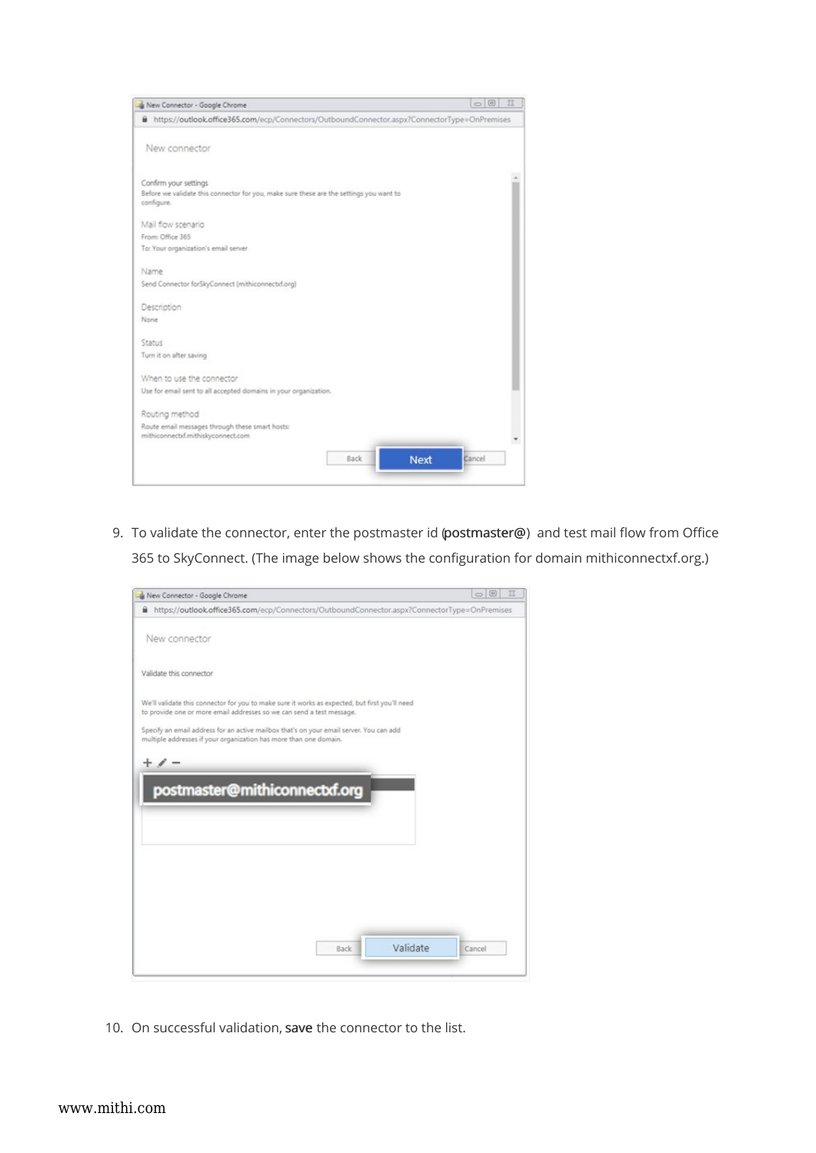

9. To validate the connector, enter the postmaster id (postmaster@) and test mail flow from Office 365 to SkyConnect. (The image below shows the configuration for domain mithiconnectxf.org.)

| New Connector - Google Chrome                                         |                                                                                                | $\boxed{\Xi}$<br>23 |
|-----------------------------------------------------------------------|------------------------------------------------------------------------------------------------|---------------------|
| ۵                                                                     | https://outlook.office365.com/ecp/Connectors/OutboundConnector.aspx?ConnectorType=OnPremises   |                     |
| New connector                                                         |                                                                                                |                     |
| Validate this connector                                               |                                                                                                |                     |
| to provide one or more email addresses so we can send a test message. | We'll validate this connector for you to make sure it works as expected, but first you'll need |                     |
| multiple addresses if your organization has more than one domain.     | Specify an email address for an active mailbox that's on your email server. You can add        |                     |
|                                                                       |                                                                                                |                     |
| postmaster@mithiconnectxf.org                                         |                                                                                                |                     |
|                                                                       |                                                                                                |                     |
|                                                                       |                                                                                                |                     |
|                                                                       |                                                                                                |                     |
|                                                                       |                                                                                                |                     |
|                                                                       |                                                                                                |                     |
|                                                                       | Validate<br><b>Back</b>                                                                        | Cancel              |
|                                                                       |                                                                                                |                     |

10. On successful validation, save the connector to the list.